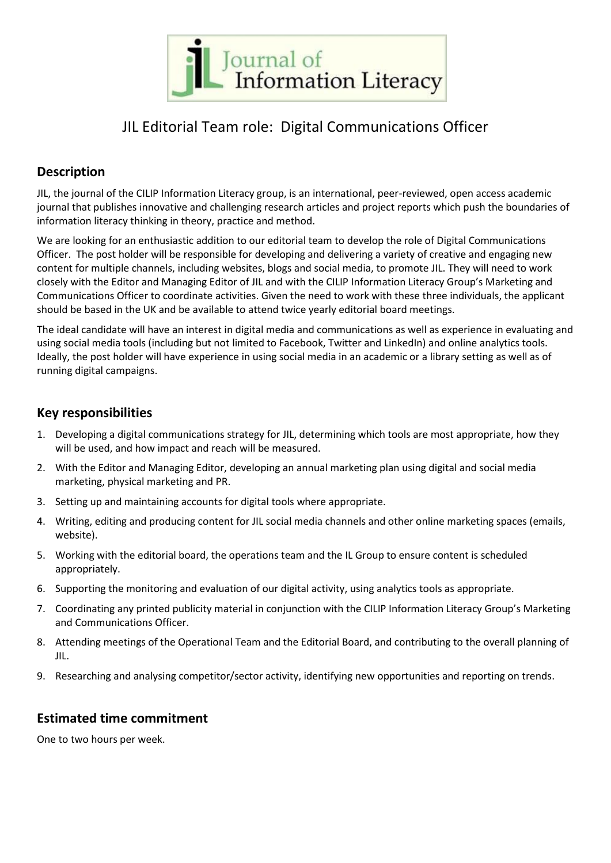

# JIL Editorial Team role: Digital Communications Officer

## **Description**

JIL, the journal of the CILIP Information Literacy group, is an international, peer-reviewed, open access academic journal that publishes innovative and challenging research articles and project reports which push the boundaries of information literacy thinking in theory, practice and method.

We are looking for an enthusiastic addition to our editorial team to develop the role of Digital Communications Officer. The post holder will be responsible for developing and delivering a variety of creative and engaging new content for multiple channels, including websites, blogs and social media, to promote JIL. They will need to work closely with the Editor and Managing Editor of JIL and with the CILIP Information Literacy Group's Marketing and Communications Officer to coordinate activities. Given the need to work with these three individuals, the applicant should be based in the UK and be available to attend twice yearly editorial board meetings.

The ideal candidate will have an interest in digital media and communications as well as experience in evaluating and using social media tools (including but not limited to Facebook, Twitter and LinkedIn) and online analytics tools. Ideally, the post holder will have experience in using social media in an academic or a library setting as well as of running digital campaigns.

### **Key responsibilities**

- 1. Developing a digital communications strategy for JIL, determining which tools are most appropriate, how they will be used, and how impact and reach will be measured.
- 2. With the Editor and Managing Editor, developing an annual marketing plan using digital and social media marketing, physical marketing and PR.
- 3. Setting up and maintaining accounts for digital tools where appropriate.
- 4. Writing, editing and producing content for JIL social media channels and other online marketing spaces (emails, website).
- 5. Working with the editorial board, the operations team and the IL Group to ensure content is scheduled appropriately.
- 6. Supporting the monitoring and evaluation of our digital activity, using analytics tools as appropriate.
- 7. Coordinating any printed publicity material in conjunction with the CILIP Information Literacy Group's Marketing and Communications Officer.
- 8. Attending meetings of the Operational Team and the Editorial Board, and contributing to the overall planning of JIL.
- 9. Researching and analysing competitor/sector activity, identifying new opportunities and reporting on trends.

#### **Estimated time commitment**

One to two hours per week.